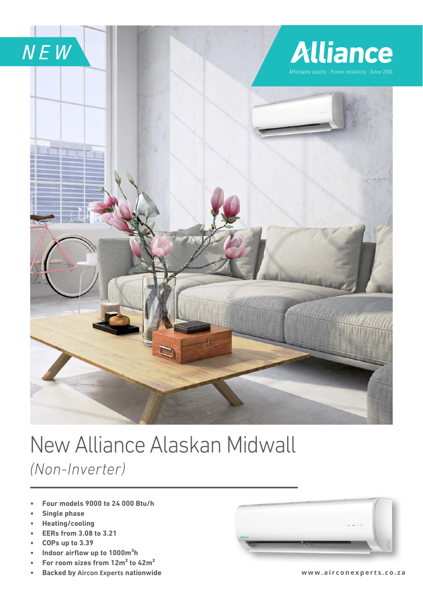

## New Alliance Alaskan Midwall *(Non-Inverter)*

- **Four models 9000 to 24 000 Btu/h**
- **Single phase**
- **Heating/cooling**
- **EERs from 3.08 to 3.21**
- **COPs up to 3.39**
- **Indoor airflow up to 1000m<sup>3</sup>h**
- **•** For room sizes from 12m<sup>2</sup> to 42m<sup>2</sup>
- **Backed by Aircon Experts nationwide**